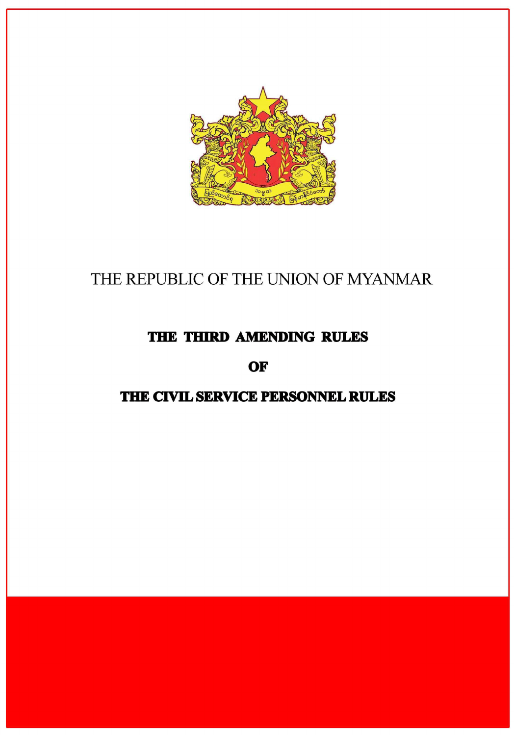

# THE REPUBLIC OF THE UNION OF MYANMAR

## THE THIRD AMENDING RULES

OF

### THE CIVIL SERVICE PERSONNEL RULES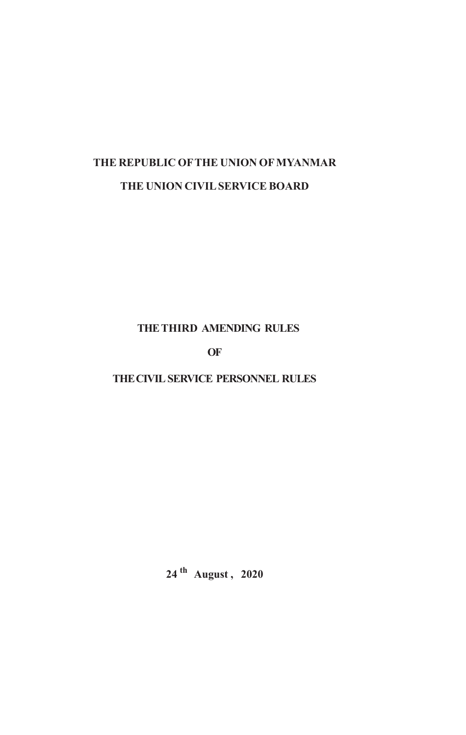## **THE REPUBLIC OF THE UNION OF MYANMAR THE UNION CIVIL SERVICE BOARD**

#### **THE THIRD AMENDING RULES**

**OF**

**THE CIVIL SERVICE PERSONNEL RULES**

**24 th August , 2020**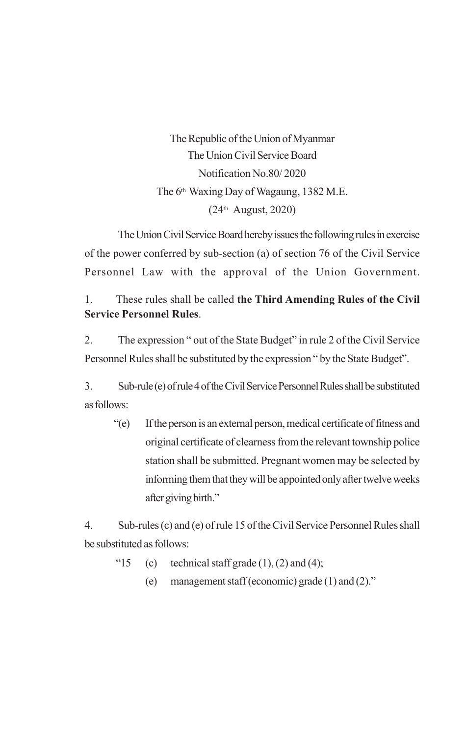The Republic of the Union of Myanmar The Union Civil Service Board Notification No.80/ 2020 The 6th Waxing Day of Wagaung, 1382 M.E. (24th August, 2020)

The Union Civil Service Board hereby issues the following rules in exercise of the power conferred by sub-section (a) of section 76 of the Civil Service Personnel Law with the approval of the Union Government.

#### 1. These rules shall be called **the Third Amending Rules of the Civil Service Personnel Rules**.

2. The expression " out of the State Budget" in rule 2 of the Civil Service Personnel Rules shall be substituted by the expression " by the State Budget".

3. Sub-rule (e) of rule 4 of the Civil Service Personnel Rules shall be substituted as follows:

"(e) If the person is an external person, medical certificate of fitness and original certificate of clearness from the relevant township police station shall be submitted. Pregnant women may be selected by informing them that they will be appointed only after twelve weeks after giving birth."

4. Sub-rules (c) and (e) of rule 15 of the Civil Service Personnel Rules shall be substituted as follows:

- "15 (c) technical staff grade  $(1)$ ,  $(2)$  and  $(4)$ ;
	- (e) management staff (economic) grade (1) and (2)."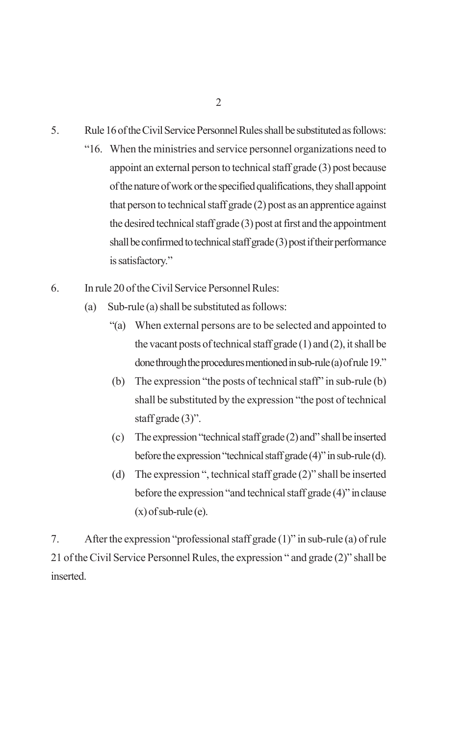- 5. Rule 16 of the Civil Service Personnel Rules shall be substituted as follows:
	- "16. When the ministries and service personnel organizations need to appoint an external person to technical staff grade (3) post because of the nature of work or the specified qualifications, they shall appoint that person to technical staff grade (2) post as an apprentice against the desired technical staff grade (3) post at first and the appointment shall be confirmed to technical staff grade (3) post if their performance is satisfactory."
- 6. In rule 20 of the Civil Service Personnel Rules:
	- (a) Sub-rule (a) shall be substituted as follows:
		- "(a) When external persons are to be selected and appointed to the vacant posts of technical staff grade (1) and (2), it shall be done through the procedures mentioned in sub-rule (a) of rule 19."
		- (b) The expression "the posts of technical staff" in sub-rule (b) shall be substituted by the expression "the post of technical staff grade (3)".
		- (c) The expression "technical staff grade (2) and" shall be inserted before the expression "technical staff grade (4)" in sub-rule (d).
		- (d) The expression ", technical staff grade (2)" shall be inserted before the expression "and technical staff grade (4)" in clause  $(x)$  of sub-rule (e).

7. After the expression "professional staff grade (1)" in sub-rule (a) of rule 21 of the Civil Service Personnel Rules, the expression " and grade (2)" shall be inserted.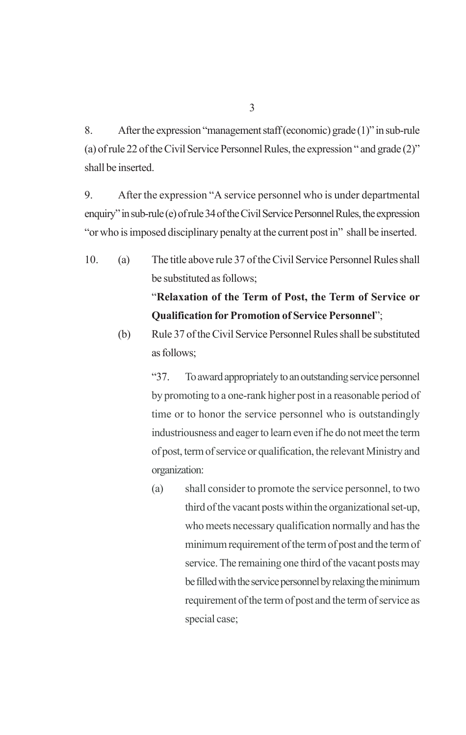8. After the expression "management staff (economic) grade (1)" in sub-rule (a) of rule 22 of the Civil Service Personnel Rules, the expression " and grade (2)" shall be inserted.

9. After the expression "A service personnel who is under departmental enquiry" in sub-rule (e) of rule 34 of the Civil Service Personnel Rules, the expression "or who is imposed disciplinary penalty at the current post in" shall be inserted.

10. (a) The title above rule 37 of the Civil Service Personnel Rules shall be substituted as follows;

### "**Relaxation of the Term of Post, the Term of Service or Qualification for Promotion of Service Personnel**";

(b) Rule 37 of the Civil Service Personnel Rules shall be substituted as follows;

> "37. To award appropriately to an outstanding service personnel by promoting to a one-rank higher post in a reasonable period of time or to honor the service personnel who is outstandingly industriousness and eager to learn even if he do not meet the term of post, term of service or qualification, the relevant Ministry and organization:

> (a) shall consider to promote the service personnel, to two third of the vacant posts within the organizational set-up, who meets necessary qualification normally and has the minimum requirement of the term of post and the term of service. The remaining one third of the vacant posts may be filled with the service personnel by relaxing the minimum requirement of the term of post and the term of service as special case;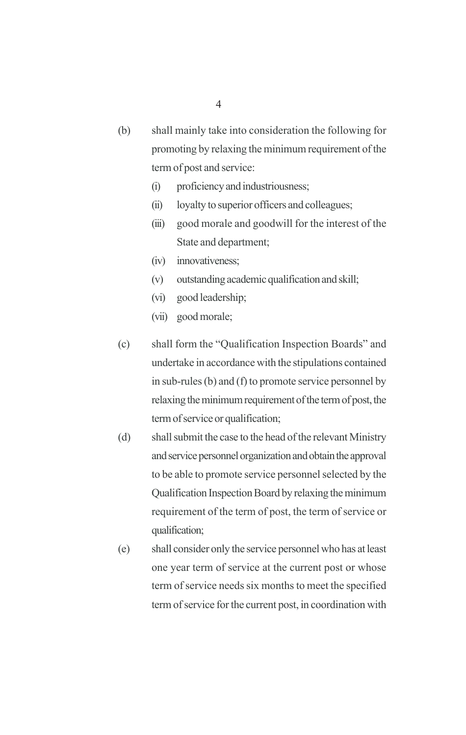- (b) shall mainly take into consideration the following for promoting by relaxing the minimum requirement of the term of post and service:
	- (i) proficiency and industriousness;
	- (ii) loyalty to superior officers and colleagues;
	- (iii) good morale and goodwill for the interest of the State and department;
	- (iv) innovativeness;
	- (v) outstanding academic qualification and skill;
	- (vi) good leadership;
	- (vii) good morale;
- (c) shall form the "Qualification Inspection Boards" and undertake in accordance with the stipulations contained in sub-rules (b) and (f) to promote service personnel by relaxing the minimum requirement of the term of post, the term of service or qualification;
- (d) shall submit the case to the head of the relevant Ministry and service personnel organization and obtain the approval to be able to promote service personnel selected by the Qualification Inspection Board by relaxing the minimum requirement of the term of post, the term of service or qualification;
- (e) shall consider only the service personnel who has at least one year term of service at the current post or whose term of service needs six months to meet the specified term of service for the current post, in coordination with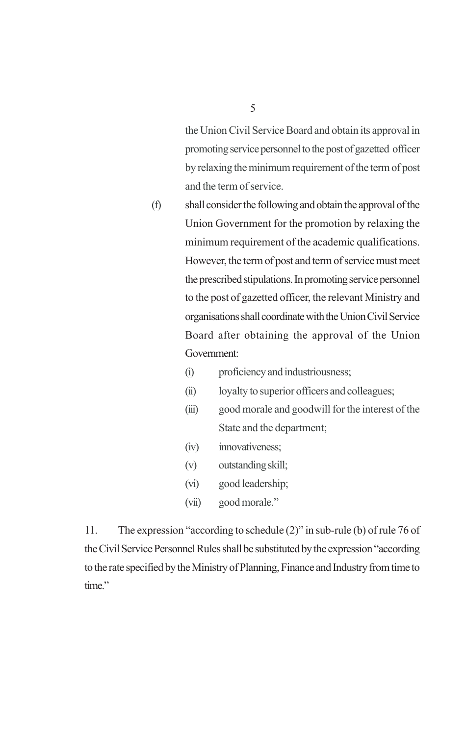the Union Civil Service Board and obtain its approval in promoting service personnel to the post of gazetted officer by relaxing the minimum requirement of the term of post and the term of service.

- (f) shall consider the following and obtain the approval of the Union Government for the promotion by relaxing the minimum requirement of the academic qualifications. However, the term of post and term of service must meet the prescribed stipulations. In promoting service personnel to the post of gazetted officer, the relevant Ministry and organisations shall coordinate with the Union Civil Service Board after obtaining the approval of the Union Government:
	- (i) proficiency and industriousness;
	- (ii) loyalty to superior officers and colleagues;
	- (iii) good morale and goodwill for the interest of the State and the department;
	- (iv) innovativeness;
	- (v) outstanding skill;
	- (vi) good leadership;
	- (vii) good morale."

11. The expression "according to schedule (2)" in sub-rule (b) of rule 76 of the Civil Service Personnel Rules shall be substituted by the expression "according to the rate specified by the Ministry of Planning, Finance and Industry from time to time."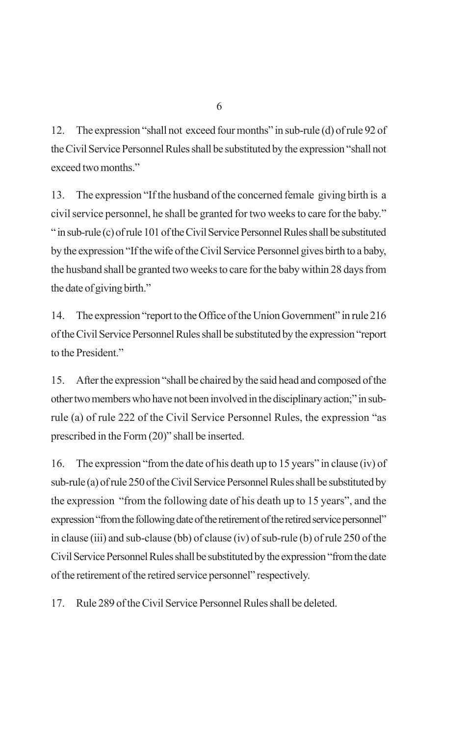12. The expression "shall not exceed four months" in sub-rule (d) of rule 92 of the Civil Service Personnel Rules shall be substituted by the expression "shall not exceed two months"

13. The expression "If the husband of the concerned female giving birth is a civil service personnel, he shall be granted for two weeks to care for the baby." " in sub-rule (c) of rule 101 of the Civil Service Personnel Rules shall be substituted by the expression "If the wife of the Civil Service Personnel gives birth to a baby, the husband shall be granted two weeks to care for the baby within 28 days from the date of giving birth."

14. The expression "report to the Office of the Union Government" in rule 216 of the Civil Service Personnel Rules shall be substituted by the expression "report to the President."

15. After the expression "shall be chaired by the said head and composed of the other two members who have not been involved in the disciplinary action;" in subrule (a) of rule 222 of the Civil Service Personnel Rules, the expression "as prescribed in the Form (20)" shall be inserted.

16. The expression "from the date of his death up to 15 years" in clause (iv) of sub-rule (a) of rule 250 of the Civil Service Personnel Rules shall be substituted by the expression "from the following date of his death up to 15 years", and the expression "from the following date of the retirement of the retired service personnel" in clause (iii) and sub-clause (bb) of clause (iv) of sub-rule (b) of rule 250 of the Civil Service Personnel Rules shall be substituted by the expression "from the date of the retirement of the retired service personnel" respectively.

17. Rule 289 of the Civil Service Personnel Rules shall be deleted.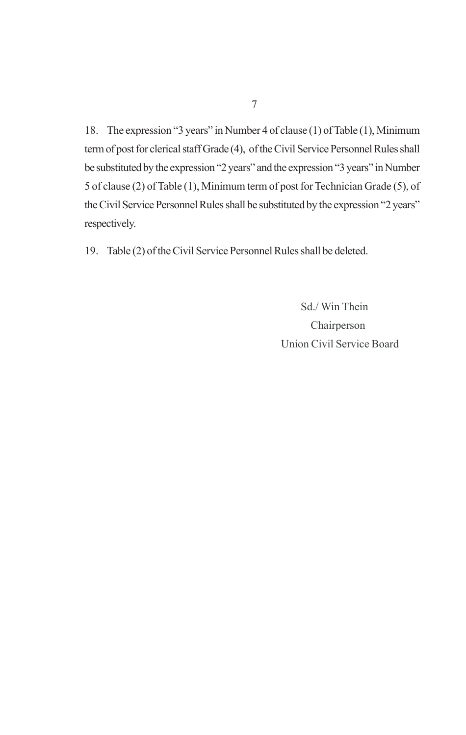18. The expression "3 years" in Number 4 of clause (1) of Table (1), Minimum term of post for clerical staff Grade (4), of the Civil Service Personnel Rules shall be substituted by the expression "2 years" and the expression "3 years" in Number 5 of clause (2) of Table (1), Minimum term of post for Technician Grade (5), of the Civil Service Personnel Rules shall be substituted by the expression "2 years" respectively.

19. Table (2) of the Civil Service Personnel Rules shall be deleted.

 Sd./ Win Thein Chairperson Union Civil Service Board